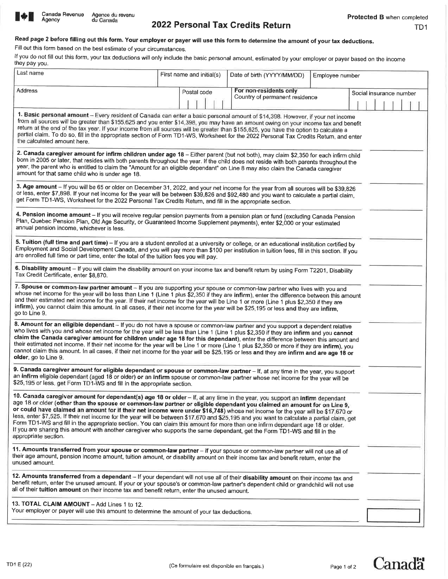

**Agency** 

# 2022 Personal Tax Credits Return

# Read page 2 before filling out this form, Your employer or payer will use this form to determine the amount of your tax deductions.

Fill out this form based on the best estimate of your circumstances.

If you do not fill out this form, your tax deductions will only include the basic personal amount, estimated by your employer or payer based on the income they pay you.

| Last name                                                                                                                                                                                                                                                                                                                                                                                                                                                                                                                                                                                                                                                                                                                                                                                                                      | First name and initial(s) | Date of birth (YYYY/MM/DD)     | Employee number |                         |
|--------------------------------------------------------------------------------------------------------------------------------------------------------------------------------------------------------------------------------------------------------------------------------------------------------------------------------------------------------------------------------------------------------------------------------------------------------------------------------------------------------------------------------------------------------------------------------------------------------------------------------------------------------------------------------------------------------------------------------------------------------------------------------------------------------------------------------|---------------------------|--------------------------------|-----------------|-------------------------|
| Address                                                                                                                                                                                                                                                                                                                                                                                                                                                                                                                                                                                                                                                                                                                                                                                                                        | Postal code               | For non-residents only         |                 |                         |
|                                                                                                                                                                                                                                                                                                                                                                                                                                                                                                                                                                                                                                                                                                                                                                                                                                |                           | Country of permanent residence |                 | Social insurance number |
|                                                                                                                                                                                                                                                                                                                                                                                                                                                                                                                                                                                                                                                                                                                                                                                                                                |                           |                                |                 |                         |
| 1. Basic personal amount - Every resident of Canada can enter a basic personal amount of \$14,398. However, if your net income<br>from all sources will be greater than \$155,625 and you enter \$14,398, you may have an amount owing on your income tax and benefit<br>return at the end of the tax year. If your income from all sources will be greater than \$155,625, you have the option to calculate a<br>partial claim. To do so, fill in the appropriate section of Form TD1-WS, Worksheet for the 2022 Personal Tax Credits Return, and enter<br>the calculated amount here.                                                                                                                                                                                                                                        |                           |                                |                 |                         |
| 2. Canada caregiver amount for infirm children under age 18 - Either parent (but not both), may claim \$2,350 for each infirm child<br>born in 2005 or later, that resides with both parents throughout the year. If the child does not reside with both parents throughout the<br>year, the parent who is entitled to claim the "Amount for an eligible dependant" on Line 8 may also claim the Canada caregiver<br>amount for that same child who is under age 18.                                                                                                                                                                                                                                                                                                                                                           |                           |                                |                 |                         |
| 3. Age amount - If you will be 65 or older on December 31, 2022, and your net income for the year from all sources will be \$39,826<br>or less, enter \$7,898. If your net income for the year will be between \$39,826 and \$92,480 and you want to calculate a partial claim,<br>get Form TD1-WS, Worksheet for the 2022 Personal Tax Credits Return, and fill in the appropriate section.                                                                                                                                                                                                                                                                                                                                                                                                                                   |                           |                                |                 |                         |
| 4. Pension income amount - If you will receive regular pension payments from a pension plan or fund (excluding Canada Pension<br>Plan, Quebec Pension Plan, Old Age Security, or Guaranteed Income Supplement payments), enter \$2,000 or your estimated<br>annual pension income, whichever is less.                                                                                                                                                                                                                                                                                                                                                                                                                                                                                                                          |                           |                                |                 |                         |
| 5. Tuition (full time and part time) - If you are a student enrolled at a university or college, or an educational institution certified by<br>Employment and Social Development Canada, and you will pay more than \$100 per institution in tuition fees, fill in this section. If you<br>are enrolled full time or part time, enter the total of the tuition fees you will pay.                                                                                                                                                                                                                                                                                                                                                                                                                                              |                           |                                |                 |                         |
| 6. Disability amount - If you will claim the disability amount on your income tax and benefit return by using Form T2201, Disability<br>Tax Credit Certificate, enter \$8,870.                                                                                                                                                                                                                                                                                                                                                                                                                                                                                                                                                                                                                                                 |                           |                                |                 |                         |
| 7. Spouse or common-law partner amount - If you are supporting your spouse or common-law partner who lives with you and<br>whose net income for the year will be less than Line 1 (Line 1 plus \$2,350 if they are infirm), enter the difference between this amount<br>and their estimated net income for the year. If their net income for the year will be Line 1 or more (Line 1 plus \$2,350 if they are<br>infirm), you cannot claim this amount. In all cases, if their net income for the year will be \$25,195 or less and they are infirm,<br>go to Line 9.                                                                                                                                                                                                                                                          |                           |                                |                 |                         |
| 8. Amount for an eligible dependant - If you do not have a spouse or common-law partner and you support a dependent relative<br>who lives with you and whose net income for the year will be less than Line 1 (Line 1 plus \$2,350 if they are infirm and you cannot<br>claim the Canada caregiver amount for children under age 18 for this dependant), enter the difference between this amount and<br>their estimated net income. If their net income for the year will be Line 1 or more (Line 1 plus \$2,350 or more if they are infirm), you<br>cannot claim this amount. In all cases, if their net income for the year will be \$25,195 or less and they are infirm and are age 18 or<br>older, go to Line 9.                                                                                                          |                           |                                |                 |                         |
| 9. Canada caregiver amount for eligible dependant or spouse or common-law partner - If, at any time in the year, you support<br>an infirm eligible dependant (aged 18 or older) or an infirm spouse or common-law partner whose net income for the year will be<br>\$25,195 or less, get Form TD1-WS and fill in the appropriate section.                                                                                                                                                                                                                                                                                                                                                                                                                                                                                      |                           |                                |                 |                         |
| 10. Canada caregiver amount for dependant(s) age 18 or older - If, at any time in the year, you support an infirm dependant<br>age 18 or older (other than the spouse or common-law partner or eligible dependant you claimed an amount for on Line 9,<br>or could have claimed an amount for if their net income were under \$16,748) whose net income for the year will be \$17,670 or<br>less, enter \$7,525. If their net income for the year will be between \$17,670 and \$25,195 and you want to calculate a partial claim, get<br>Form TD1-WS and fill in the appropriate section. You can claim this amount for more than one infirm dependant age 18 or older.<br>If you are sharing this amount with another caregiver who supports the same dependant, get the Form TD1-WS and fill in the<br>appropriate section. |                           |                                |                 |                         |
| 11. Amounts transferred from your spouse or common-law partner - If your spouse or common-law partner will not use all of<br>their age amount, pension income amount, tuition amount, or disability amount on their income tax and benefit return, enter the<br>unused amount.                                                                                                                                                                                                                                                                                                                                                                                                                                                                                                                                                 |                           |                                |                 |                         |
| 12. Amounts transferred from a dependant – If your dependant will not use all of their disability amount on their income tax and<br>benefit return, enter the unused amount. If your or your spouse's or common-law partner's dependent child or grandchild will not use<br>all of their tuition amount on their income tax and benefit return, enter the unused amount.                                                                                                                                                                                                                                                                                                                                                                                                                                                       |                           |                                |                 |                         |
| 13. TOTAL CLAIM AMOUNT - Add Lines 1 to 12.<br>Your employer or payer will use this amount to determine the amount of your tax deductions.                                                                                                                                                                                                                                                                                                                                                                                                                                                                                                                                                                                                                                                                                     |                           |                                |                 |                         |
|                                                                                                                                                                                                                                                                                                                                                                                                                                                                                                                                                                                                                                                                                                                                                                                                                                |                           |                                |                 |                         |